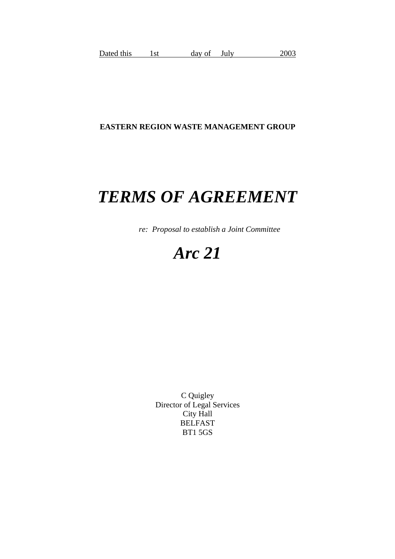# **EASTERN REGION WASTE MANAGEMENT GROUP**

# *TERMS OF AGREEMENT*

 *re: Proposal to establish a Joint Committee*

# *Arc 21*

C Quigley Director of Legal Services City Hall BELFAST BT1 5GS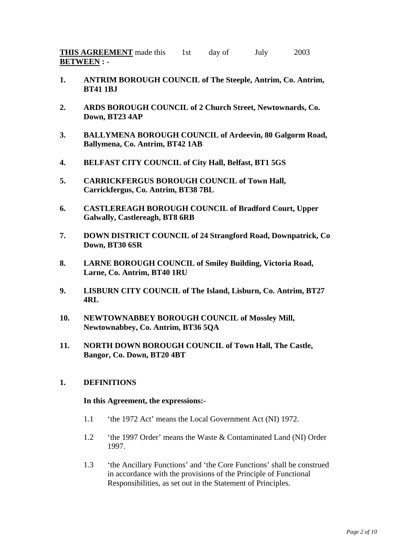**THIS AGREEMENT** made this 1st day of July 2003 **BETWEEN : -** 

- **1. ANTRIM BOROUGH COUNCIL of The Steeple, Antrim, Co. Antrim, BT41 1BJ**
- **2. ARDS BOROUGH COUNCIL of 2 Church Street, Newtownards, Co. Down, BT23 4AP**
- **3. BALLYMENA BOROUGH COUNCIL of Ardeevin, 80 Galgorm Road, Ballymena, Co. Antrim, BT42 1AB**
- **4. BELFAST CITY COUNCIL of City Hall, Belfast, BT1 5GS**
- **5. CARRICKFERGUS BOROUGH COUNCIL of Town Hall, Carrickfergus, Co. Antrim, BT38 7BL**
- **6. CASTLEREAGH BOROUGH COUNCIL of Bradford Court, Upper Galwally, Castlereagh, BT8 6RB**
- **7. DOWN DISTRICT COUNCIL of 24 Strangford Road, Downpatrick, Co Down, BT30 6SR**
- **8. LARNE BOROUGH COUNCIL of Smiley Building, Victoria Road, Larne, Co. Antrim, BT40 1RU**
- **9. LISBURN CITY COUNCIL of The Island, Lisburn, Co. Antrim, BT27 4RL**
- **10. NEWTOWNABBEY BOROUGH COUNCIL of Mossley Mill, Newtownabbey, Co. Antrim, BT36 5QA**
- **11. NORTH DOWN BOROUGH COUNCIL of Town Hall, The Castle, Bangor, Co. Down, BT20 4BT**

## **1. DEFINITIONS**

#### **In this Agreement, the expressions:-**

- 1.1 'the 1972 Act' means the Local Government Act (NI) 1972.
- 1.2 'the 1997 Order' means the Waste & Contaminated Land (NI) Order 1997.
- 1.3 'the Ancillary Functions' and 'the Core Functions' shall be construed in accordance with the provisions of the Principle of Functional Responsibilities, as set out in the Statement of Principles.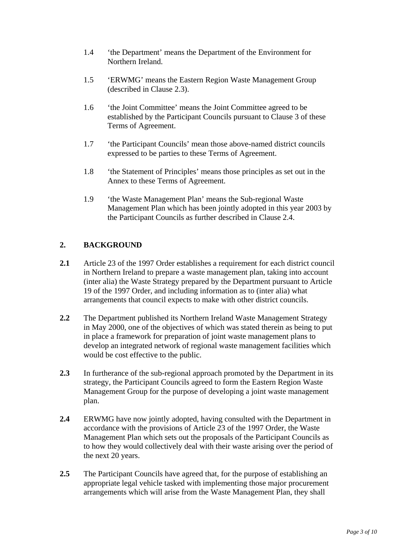- 1.4 'the Department' means the Department of the Environment for Northern Ireland.
- 1.5 'ERWMG' means the Eastern Region Waste Management Group (described in Clause 2.3).
- 1.6 'the Joint Committee' means the Joint Committee agreed to be established by the Participant Councils pursuant to Clause 3 of these Terms of Agreement.
- 1.7 'the Participant Councils' mean those above-named district councils expressed to be parties to these Terms of Agreement.
- 1.8 'the Statement of Principles' means those principles as set out in the Annex to these Terms of Agreement.
- 1.9 'the Waste Management Plan' means the Sub-regional Waste Management Plan which has been jointly adopted in this year 2003 by the Participant Councils as further described in Clause 2.4.

# **2. BACKGROUND**

- **2.1** Article 23 of the 1997 Order establishes a requirement for each district council in Northern Ireland to prepare a waste management plan, taking into account (inter alia) the Waste Strategy prepared by the Department pursuant to Article 19 of the 1997 Order, and including information as to (inter alia) what arrangements that council expects to make with other district councils.
- **2.2** The Department published its Northern Ireland Waste Management Strategy in May 2000, one of the objectives of which was stated therein as being to put in place a framework for preparation of joint waste management plans to develop an integrated network of regional waste management facilities which would be cost effective to the public.
- **2.3** In furtherance of the sub-regional approach promoted by the Department in its strategy, the Participant Councils agreed to form the Eastern Region Waste Management Group for the purpose of developing a joint waste management plan.
- **2.4** ERWMG have now jointly adopted, having consulted with the Department in accordance with the provisions of Article 23 of the 1997 Order, the Waste Management Plan which sets out the proposals of the Participant Councils as to how they would collectively deal with their waste arising over the period of the next 20 years.
- **2.5** The Participant Councils have agreed that, for the purpose of establishing an appropriate legal vehicle tasked with implementing those major procurement arrangements which will arise from the Waste Management Plan, they shall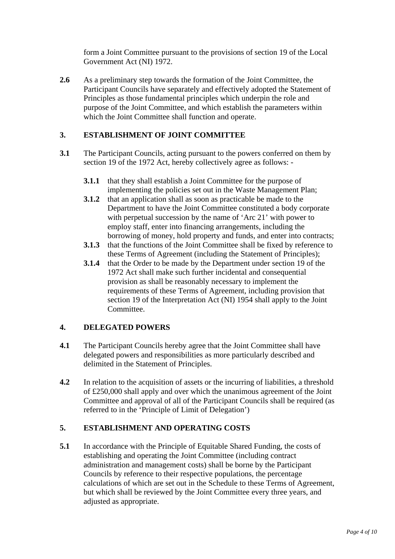form a Joint Committee pursuant to the provisions of section 19 of the Local Government Act (NI) 1972.

**2.6** As a preliminary step towards the formation of the Joint Committee, the Participant Councils have separately and effectively adopted the Statement of Principles as those fundamental principles which underpin the role and purpose of the Joint Committee, and which establish the parameters within which the Joint Committee shall function and operate.

# **3. ESTABLISHMENT OF JOINT COMMITTEE**

- **3.1** The Participant Councils, acting pursuant to the powers conferred on them by section 19 of the 1972 Act, hereby collectively agree as follows: -
	- **3.1.1** that they shall establish a Joint Committee for the purpose of implementing the policies set out in the Waste Management Plan;
	- **3.1.2** that an application shall as soon as practicable be made to the Department to have the Joint Committee constituted a body corporate with perpetual succession by the name of 'Arc 21' with power to employ staff, enter into financing arrangements, including the borrowing of money, hold property and funds, and enter into contracts;
	- **3.1.3** that the functions of the Joint Committee shall be fixed by reference to these Terms of Agreement (including the Statement of Principles);
	- **3.1.4** that the Order to be made by the Department under section 19 of the 1972 Act shall make such further incidental and consequential provision as shall be reasonably necessary to implement the requirements of these Terms of Agreement, including provision that section 19 of the Interpretation Act (NI) 1954 shall apply to the Joint Committee.

## **4. DELEGATED POWERS**

- **4.1** The Participant Councils hereby agree that the Joint Committee shall have delegated powers and responsibilities as more particularly described and delimited in the Statement of Principles.
- **4.2** In relation to the acquisition of assets or the incurring of liabilities, a threshold of £250,000 shall apply and over which the unanimous agreement of the Joint Committee and approval of all of the Participant Councils shall be required (as referred to in the 'Principle of Limit of Delegation')

## **5. ESTABLISHMENT AND OPERATING COSTS**

**5.1** In accordance with the Principle of Equitable Shared Funding, the costs of establishing and operating the Joint Committee (including contract administration and management costs) shall be borne by the Participant Councils by reference to their respective populations, the percentage calculations of which are set out in the Schedule to these Terms of Agreement, but which shall be reviewed by the Joint Committee every three years, and adjusted as appropriate.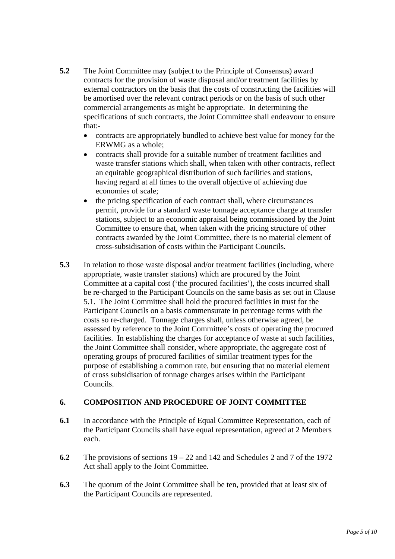- **5.2** The Joint Committee may (subject to the Principle of Consensus) award contracts for the provision of waste disposal and/or treatment facilities by external contractors on the basis that the costs of constructing the facilities will be amortised over the relevant contract periods or on the basis of such other commercial arrangements as might be appropriate. In determining the specifications of such contracts, the Joint Committee shall endeavour to ensure that:-
	- contracts are appropriately bundled to achieve best value for money for the ERWMG as a whole;
	- contracts shall provide for a suitable number of treatment facilities and waste transfer stations which shall, when taken with other contracts, reflect an equitable geographical distribution of such facilities and stations, having regard at all times to the overall objective of achieving due economies of scale;
	- the pricing specification of each contract shall, where circumstances permit, provide for a standard waste tonnage acceptance charge at transfer stations, subject to an economic appraisal being commissioned by the Joint Committee to ensure that, when taken with the pricing structure of other contracts awarded by the Joint Committee, there is no material element of cross-subsidisation of costs within the Participant Councils.
- **5.3** In relation to those waste disposal and/or treatment facilities (including, where appropriate, waste transfer stations) which are procured by the Joint Committee at a capital cost ('the procured facilities'), the costs incurred shall be re-charged to the Participant Councils on the same basis as set out in Clause 5.1. The Joint Committee shall hold the procured facilities in trust for the Participant Councils on a basis commensurate in percentage terms with the costs so re-charged. Tonnage charges shall, unless otherwise agreed, be assessed by reference to the Joint Committee's costs of operating the procured facilities. In establishing the charges for acceptance of waste at such facilities, the Joint Committee shall consider, where appropriate, the aggregate cost of operating groups of procured facilities of similar treatment types for the purpose of establishing a common rate, but ensuring that no material element of cross subsidisation of tonnage charges arises within the Participant Councils.

## **6. COMPOSITION AND PROCEDURE OF JOINT COMMITTEE**

- **6.1** In accordance with the Principle of Equal Committee Representation, each of the Participant Councils shall have equal representation, agreed at 2 Members each.
- **6.2** The provisions of sections 19 22 and 142 and Schedules 2 and 7 of the 1972 Act shall apply to the Joint Committee.
- **6.3** The quorum of the Joint Committee shall be ten, provided that at least six of the Participant Councils are represented.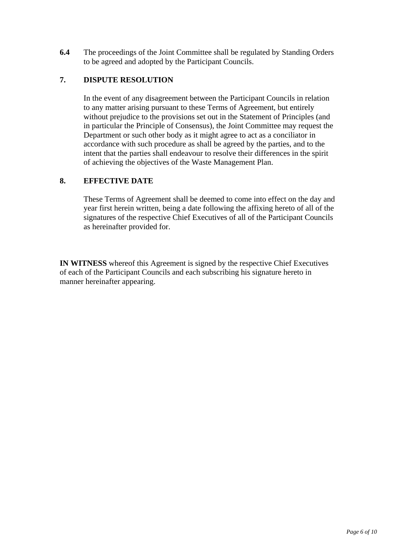**6.4** The proceedings of the Joint Committee shall be regulated by Standing Orders to be agreed and adopted by the Participant Councils.

# **7. DISPUTE RESOLUTION**

 In the event of any disagreement between the Participant Councils in relation to any matter arising pursuant to these Terms of Agreement, but entirely without prejudice to the provisions set out in the Statement of Principles (and in particular the Principle of Consensus), the Joint Committee may request the Department or such other body as it might agree to act as a conciliator in accordance with such procedure as shall be agreed by the parties, and to the intent that the parties shall endeavour to resolve their differences in the spirit of achieving the objectives of the Waste Management Plan.

## **8. EFFECTIVE DATE**

These Terms of Agreement shall be deemed to come into effect on the day and year first herein written, being a date following the affixing hereto of all of the signatures of the respective Chief Executives of all of the Participant Councils as hereinafter provided for.

**IN WITNESS** whereof this Agreement is signed by the respective Chief Executives of each of the Participant Councils and each subscribing his signature hereto in manner hereinafter appearing.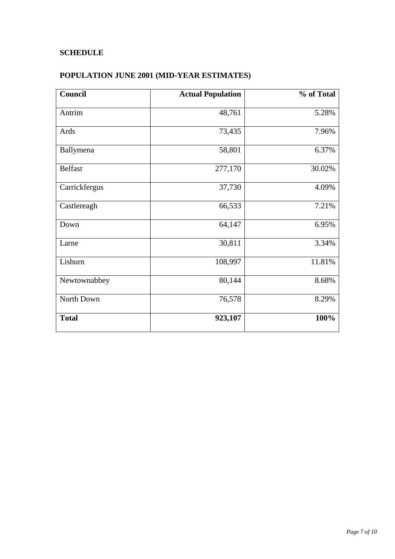# **SCHEDULE**

# **POPULATION JUNE 2001 (MID-YEAR ESTIMATES)**

| Council        | <b>Actual Population</b> | % of Total |
|----------------|--------------------------|------------|
| Antrim         | 48,761                   | 5.28%      |
| Ards           | 73,435                   | 7.96%      |
| Ballymena      | 58,801                   | 6.37%      |
| <b>Belfast</b> | 277,170                  | 30.02%     |
| Carrickfergus  | 37,730                   | 4.09%      |
| Castlereagh    | 66,533                   | 7.21%      |
| Down           | 64,147                   | 6.95%      |
| Larne          | 30,811                   | 3.34%      |
| Lisburn        | 108,997                  | 11.81%     |
| Newtownabbey   | 80,144                   | 8.68%      |
| North Down     | 76,578                   | 8.29%      |
| <b>Total</b>   | 923,107                  | 100%       |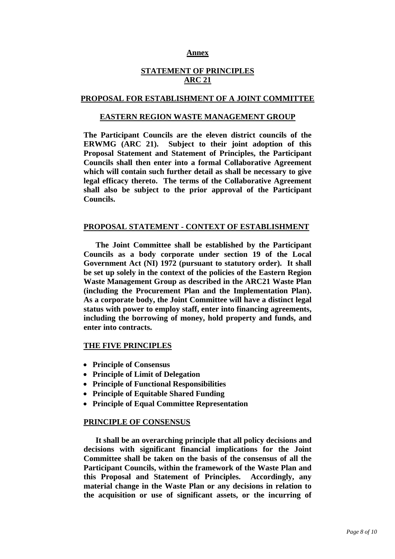#### **Annex**

## **STATEMENT OF PRINCIPLES ARC 21**

#### **PROPOSAL FOR ESTABLISHMENT OF A JOINT COMMITTEE**

#### **EASTERN REGION WASTE MANAGEMENT GROUP**

**The Participant Councils are the eleven district councils of the ERWMG (ARC 21). Subject to their joint adoption of this Proposal Statement and Statement of Principles, the Participant Councils shall then enter into a formal Collaborative Agreement which will contain such further detail as shall be necessary to give legal efficacy thereto. The terms of the Collaborative Agreement shall also be subject to the prior approval of the Participant Councils.** 

#### **PROPOSAL STATEMENT - CONTEXT OF ESTABLISHMENT**

 **The Joint Committee shall be established by the Participant Councils as a body corporate under section 19 of the Local Government Act (NI) 1972 (pursuant to statutory order). It shall be set up solely in the context of the policies of the Eastern Region Waste Management Group as described in the ARC21 Waste Plan (including the Procurement Plan and the Implementation Plan). As a corporate body, the Joint Committee will have a distinct legal status with power to employ staff, enter into financing agreements, including the borrowing of money, hold property and funds, and enter into contracts.** 

#### **THE FIVE PRINCIPLES**

- **Principle of Consensus**
- **Principle of Limit of Delegation**
- **Principle of Functional Responsibilities**
- **Principle of Equitable Shared Funding**
- **Principle of Equal Committee Representation**

#### **PRINCIPLE OF CONSENSUS**

 **It shall be an overarching principle that all policy decisions and decisions with significant financial implications for the Joint Committee shall be taken on the basis of the consensus of all the Participant Councils, within the framework of the Waste Plan and this Proposal and Statement of Principles. Accordingly, any material change in the Waste Plan or any decisions in relation to the acquisition or use of significant assets, or the incurring of**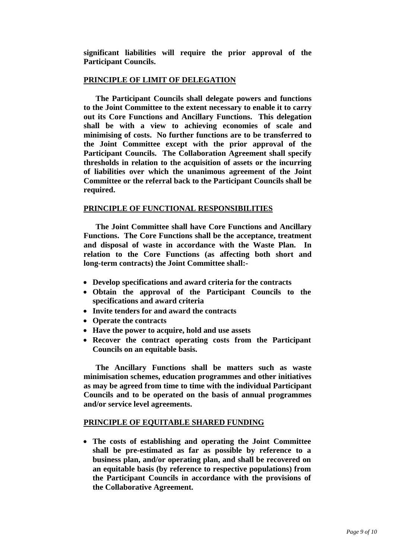**significant liabilities will require the prior approval of the Participant Councils.** 

#### **PRINCIPLE OF LIMIT OF DELEGATION**

 **The Participant Councils shall delegate powers and functions to the Joint Committee to the extent necessary to enable it to carry out its Core Functions and Ancillary Functions. This delegation shall be with a view to achieving economies of scale and minimising of costs. No further functions are to be transferred to the Joint Committee except with the prior approval of the Participant Councils. The Collaboration Agreement shall specify thresholds in relation to the acquisition of assets or the incurring of liabilities over which the unanimous agreement of the Joint Committee or the referral back to the Participant Councils shall be required.** 

### **PRINCIPLE OF FUNCTIONAL RESPONSIBILITIES**

 **The Joint Committee shall have Core Functions and Ancillary Functions. The Core Functions shall be the acceptance, treatment and disposal of waste in accordance with the Waste Plan. In relation to the Core Functions (as affecting both short and long-term contracts) the Joint Committee shall:-** 

- **Develop specifications and award criteria for the contracts**
- **Obtain the approval of the Participant Councils to the specifications and award criteria**
- **Invite tenders for and award the contracts**
- **Operate the contracts**
- **Have the power to acquire, hold and use assets**
- **Recover the contract operating costs from the Participant Councils on an equitable basis.**

 **The Ancillary Functions shall be matters such as waste minimisation schemes, education programmes and other initiatives as may be agreed from time to time with the individual Participant Councils and to be operated on the basis of annual programmes and/or service level agreements.** 

#### **PRINCIPLE OF EQUITABLE SHARED FUNDING**

• **The costs of establishing and operating the Joint Committee shall be pre-estimated as far as possible by reference to a business plan, and/or operating plan, and shall be recovered on an equitable basis (by reference to respective populations) from the Participant Councils in accordance with the provisions of the Collaborative Agreement.**